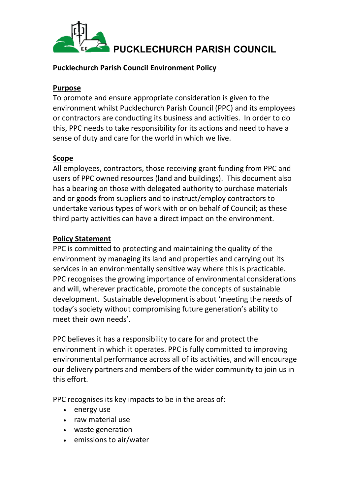

## **Pucklechurch Parish Council Environment Policy**

### **Purpose**

To promote and ensure appropriate consideration is given to the environment whilst Pucklechurch Parish Council (PPC) and its employees or contractors are conducting its business and activities. In order to do this, PPC needs to take responsibility for its actions and need to have a sense of duty and care for the world in which we live.

# **Scope**

All employees, contractors, those receiving grant funding from PPC and users of PPC owned resources (land and buildings). This document also has a bearing on those with delegated authority to purchase materials and or goods from suppliers and to instruct/employ contractors to undertake various types of work with or on behalf of Council; as these third party activities can have a direct impact on the environment.

# **Policy Statement**

PPC is committed to protecting and maintaining the quality of the environment by managing its land and properties and carrying out its services in an environmentally sensitive way where this is practicable. PPC recognises the growing importance of environmental considerations and will, wherever practicable, promote the concepts of sustainable development. Sustainable development is about 'meeting the needs of today's society without compromising future generation's ability to meet their own needs'.

PPC believes it has a responsibility to care for and protect the environment in which it operates. PPC is fully committed to improving environmental performance across all of its activities, and will encourage our delivery partners and members of the wider community to join us in this effort.

PPC recognises its key impacts to be in the areas of:

- energy use
- raw material use
- waste generation
- emissions to air/water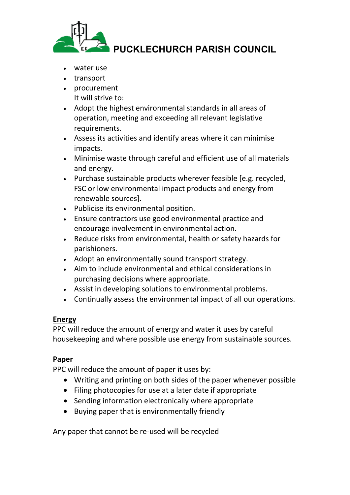

- water use
- transport
- procurement It will strive to:
- Adopt the highest environmental standards in all areas of operation, meeting and exceeding all relevant legislative requirements.
- Assess its activities and identify areas where it can minimise impacts.
- Minimise waste through careful and efficient use of all materials and energy.
- Purchase sustainable products wherever feasible [e.g. recycled, FSC or low environmental impact products and energy from renewable sources].
- Publicise its environmental position.
- Ensure contractors use good environmental practice and encourage involvement in environmental action.
- Reduce risks from environmental, health or safety hazards for parishioners.
- Adopt an environmentally sound transport strategy.
- Aim to include environmental and ethical considerations in purchasing decisions where appropriate.
- Assist in developing solutions to environmental problems.
- Continually assess the environmental impact of all our operations.

#### **Energy**

PPC will reduce the amount of energy and water it uses by careful housekeeping and where possible use energy from sustainable sources.

#### **Paper**

PPC will reduce the amount of paper it uses by:

- Writing and printing on both sides of the paper whenever possible
- Filing photocopies for use at a later date if appropriate
- Sending information electronically where appropriate
- Buying paper that is environmentally friendly

Any paper that cannot be re-used will be recycled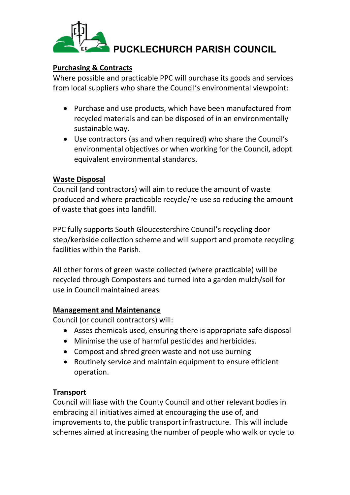

### **Purchasing & Contracts**

Where possible and practicable PPC will purchase its goods and services from local suppliers who share the Council's environmental viewpoint:

- Purchase and use products, which have been manufactured from recycled materials and can be disposed of in an environmentally sustainable way.
- Use contractors (as and when required) who share the Council's environmental objectives or when working for the Council, adopt equivalent environmental standards.

## **Waste Disposal**

Council (and contractors) will aim to reduce the amount of waste produced and where practicable recycle/re-use so reducing the amount of waste that goes into landfill.

PPC fully supports South Gloucestershire Council's recycling door step/kerbside collection scheme and will support and promote recycling facilities within the Parish.

All other forms of green waste collected (where practicable) will be recycled through Composters and turned into a garden mulch/soil for use in Council maintained areas.

#### **Management and Maintenance**

Council (or council contractors) will:

- Asses chemicals used, ensuring there is appropriate safe disposal
- Minimise the use of harmful pesticides and herbicides.
- Compost and shred green waste and not use burning
- Routinely service and maintain equipment to ensure efficient operation.

# **Transport**

Council will liase with the County Council and other relevant bodies in embracing all initiatives aimed at encouraging the use of, and improvements to, the public transport infrastructure. This will include schemes aimed at increasing the number of people who walk or cycle to